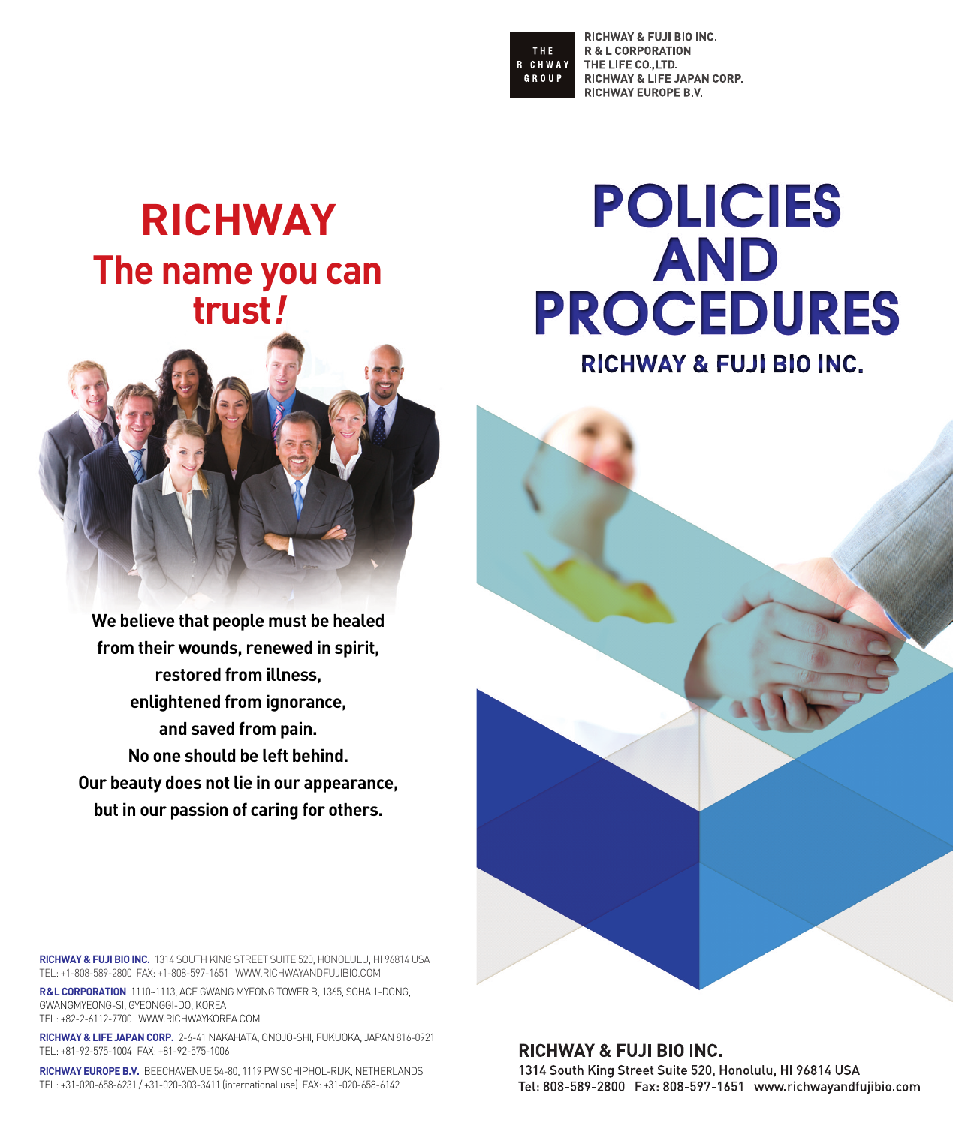THE. **RICHWAY** GROUP

RICHWAY & FUJI BIO INC. **R & L CORPORATION** THE LIFE CO., LTD. RICHWAY & LIFE JAPAN CORP. **RICHWAY EUROPE B.V.** 

# **RICHWAY The name you can trust!**



**We believe that people must be healed from their wounds, renewed in spirit, restored from illness, enlightened from ignorance, and saved from pain. No one should be left behind. Our beauty does not lie in our appearance, but in our passion of caring for others.**

**POLICIES** AND **PROCEDURES** 

**RICHWAY & FUJI BIO INC.** 



**RICHWAY & FUJI BIO INC.** 1314 SOUTH KING STREET SUITE 520, HONOLULU, HI 96814 USA TEL: +1-808-589-2800 FAX: +1-808-597-1651 WWW.RICHWAYANDFUJIBIO.COM

**R&L CORPORATION** 1110~1113, ACE GWANG MYEONG TOWER B, 1365, SOHA 1-DONG, GWANGMYEONG-SI, GYEONGGI-DO, KOREA TEL: +82-2-6112-7700 WWW.RICHWAYKOREA.COM

**RICHWAY & LIFE JAPAN CORP.** 2-6-41 NAKAHATA, ONOJO-SHI, FUKUOKA, JAPAN 816-0921 TEL: +81-92-575-1004 FAX: +81-92-575-1006

**RICHWAY EUROPE B.V.** BEECHAVENUE 54-80, 1119 PW SCHIPHOL-RIJK, NETHERLANDS TEL: +31-020-658-6231 / +31-020-303-3411 (international use) FAX: +31-020-658-6142

# **RICHWAY & FUJI BIO INC.** 1314 South King Street Suite 520, Honolulu, HI 96814 USA Tel: 808-589-2800 Fax: 808-597-1651 www.richwayandfujibio.com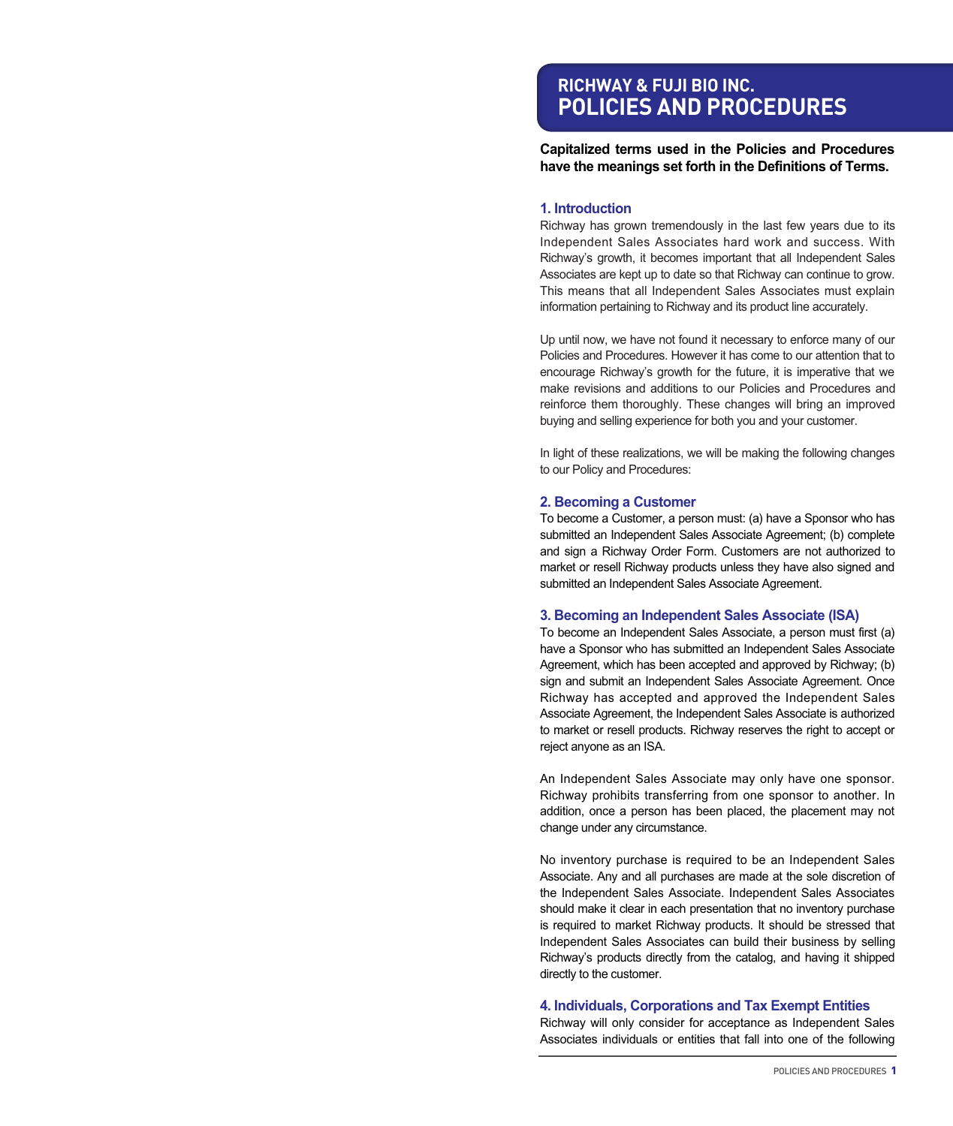# **RICHWAY & FUJI BIO INC. POLICIES AND PROCEDURES**

**Capitalized terms used in the Policies and Procedures have the meanings set forth in the Definitions of Terms.**

#### **1. Introduction**

Richway has grown tremendously in the last few years due to its Independent Sales Associates hard work and success. With Richway's growth, it becomes important that all Independent Sales Associates are kept up to date so that Richway can continue to grow. This means that all Independent Sales Associates must explain information pertaining to Richway and its product line accurately.

Up until now, we have not found it necessary to enforce many of our Policies and Procedures. However it has come to our attention that to encourage Richway's growth for the future, it is imperative that we make revisions and additions to our Policies and Procedures and reinforce them thoroughly. These changes will bring an improved buying and selling experience for both you and your customer.

In light of these realizations, we will be making the following changes to our Policy and Procedures:

#### **2. Becoming a Customer**

To become a Customer, a person must: (a) have a Sponsor who has submitted an Independent Sales Associate Agreement; (b) complete and sign a Richway Order Form. Customers are not authorized to market or resell Richway products unless they have also signed and submitted an Independent Sales Associate Agreement.

#### **3. Becoming an Independent Sales Associate (ISA)**

To become an Independent Sales Associate, a person must first (a) have a Sponsor who has submitted an Independent Sales Associate Agreement, which has been accepted and approved by Richway; (b) sign and submit an Independent Sales Associate Agreement. Once Richway has accepted and approved the Independent Sales Associate Agreement, the Independent Sales Associate is authorized to market or resell products. Richway reserves the right to accept or reject anyone as an ISA.

An Independent Sales Associate may only have one sponsor. Richway prohibits transferring from one sponsor to another. In addition, once a person has been placed, the placement may not change under any circumstance.

No inventory purchase is required to be an Independent Sales Associate. Any and all purchases are made at the sole discretion of the Independent Sales Associate. Independent Sales Associates should make it clear in each presentation that no inventory purchase is required to market Richway products. It should be stressed that Independent Sales Associates can build their business by selling Richway's products directly from the catalog, and having it shipped directly to the customer.

#### **4. Individuals, Corporations and Tax Exempt Entities**

Richway will only consider for acceptance as Independent Sales Associates individuals or entities that fall into one of the following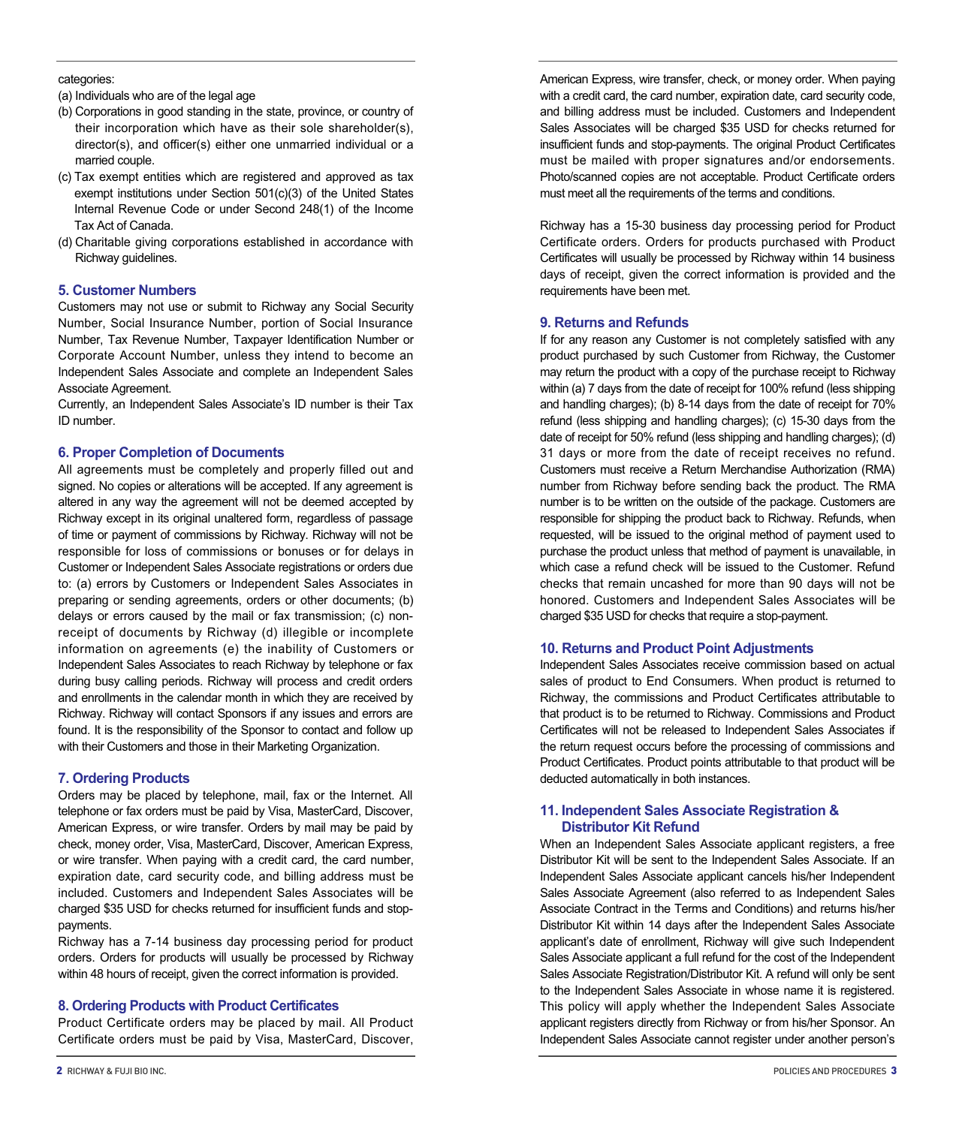#### categories:

- (a) Individuals who are of the legal age
- (b) Corporations in good standing in the state, province, or country of their incorporation which have as their sole shareholder(s), director(s), and officer(s) either one unmarried individual or a married couple.
- (c) Tax exempt entities which are registered and approved as tax exempt institutions under Section 501(c)(3) of the United States Internal Revenue Code or under Second 248(1) of the Income Tax Act of Canada.
- (d) Charitable giving corporations established in accordance with Richway guidelines.

# **5. Customer Numbers**

Customers may not use or submit to Richway any Social Security Number, Social Insurance Number, portion of Social Insurance Number, Tax Revenue Number, Taxpayer Identification Number or Corporate Account Number, unless they intend to become an Independent Sales Associate and complete an Independent Sales Associate Agreement.

Currently, an Independent Sales Associate's ID number is their Tax ID number.

#### **6. Proper Completion of Documents**

All agreements must be completely and properly filled out and signed. No copies or alterations will be accepted. If any agreement is altered in any way the agreement will not be deemed accepted by Richway except in its original unaltered form, regardless of passage of time or payment of commissions by Richway. Richway will not be responsible for loss of commissions or bonuses or for delays in Customer or Independent Sales Associate registrations or orders due to: (a) errors by Customers or Independent Sales Associates in preparing or sending agreements, orders or other documents; (b) delays or errors caused by the mail or fax transmission; (c) nonreceipt of documents by Richway (d) illegible or incomplete information on agreements (e) the inability of Customers or Independent Sales Associates to reach Richway by telephone or fax during busy calling periods. Richway will process and credit orders and enrollments in the calendar month in which they are received by Richway. Richway will contact Sponsors if any issues and errors are found. It is the responsibility of the Sponsor to contact and follow up with their Customers and those in their Marketing Organization.

# **7. Ordering Products**

Orders may be placed by telephone, mail, fax or the Internet. All telephone or fax orders must be paid by Visa, MasterCard, Discover, American Express, or wire transfer. Orders by mail may be paid by check, money order, Visa, MasterCard, Discover, American Express, or wire transfer. When paying with a credit card, the card number, expiration date, card security code, and billing address must be included. Customers and Independent Sales Associates will be charged \$35 USD for checks returned for insufficient funds and stoppayments.

Richway has a 7-14 business day processing period for product orders. Orders for products will usually be processed by Richway within 48 hours of receipt, given the correct information is provided.

# **8. Ordering Products with Product Certificates**

Product Certificate orders may be placed by mail. All Product Certificate orders must be paid by Visa, MasterCard, Discover,

American Express, wire transfer, check, or money order. When paying with a credit card, the card number, expiration date, card security code, and billing address must be included. Customers and Independent Sales Associates will be charged \$35 USD for checks returned for insufficient funds and stop-payments. The original Product Certificates must be mailed with proper signatures and/or endorsements. Photo/scanned copies are not acceptable. Product Certificate orders must meet all the requirements of the terms and conditions.

Richway has a 15-30 business day processing period for Product Certificate orders. Orders for products purchased with Product Certificates will usually be processed by Richway within 14 business days of receipt, given the correct information is provided and the requirements have been met.

#### **9. Returns and Refunds**

If for any reason any Customer is not completely satisfied with any product purchased by such Customer from Richway, the Customer may return the product with a copy of the purchase receipt to Richway within (a) 7 days from the date of receipt for 100% refund (less shipping and handling charges); (b) 8-14 days from the date of receipt for 70% refund (less shipping and handling charges); (c) 15-30 days from the date of receipt for 50% refund (less shipping and handling charges); (d) 31 days or more from the date of receipt receives no refund. Customers must receive a Return Merchandise Authorization (RMA) number from Richway before sending back the product. The RMA number is to be written on the outside of the package. Customers are responsible for shipping the product back to Richway. Refunds, when requested, will be issued to the original method of payment used to purchase the product unless that method of payment is unavailable, in which case a refund check will be issued to the Customer. Refund checks that remain uncashed for more than 90 days will not be honored. Customers and Independent Sales Associates will be charged \$35 USD for checks that require a stop-payment.

#### **10. Returns and Product Point Adjustments**

Independent Sales Associates receive commission based on actual sales of product to End Consumers. When product is returned to Richway, the commissions and Product Certificates attributable to that product is to be returned to Richway. Commissions and Product Certificates will not be released to Independent Sales Associates if the return request occurs before the processing of commissions and Product Certificates. Product points attributable to that product will be deducted automatically in both instances.

#### **11. Independent Sales Associate Registration & Distributor Kit Refund**

When an Independent Sales Associate applicant registers, a free Distributor Kit will be sent to the Independent Sales Associate. If an Independent Sales Associate applicant cancels his/her Independent Sales Associate Agreement (also referred to as Independent Sales Associate Contract in the Terms and Conditions) and returns his/her Distributor Kit within 14 days after the Independent Sales Associate applicant's date of enrollment, Richway will give such Independent Sales Associate applicant a full refund for the cost of the Independent Sales Associate Registration/Distributor Kit. A refund will only be sent to the Independent Sales Associate in whose name it is registered. This policy will apply whether the Independent Sales Associate applicant registers directly from Richway or from his/her Sponsor. An Independent Sales Associate cannot register under another person's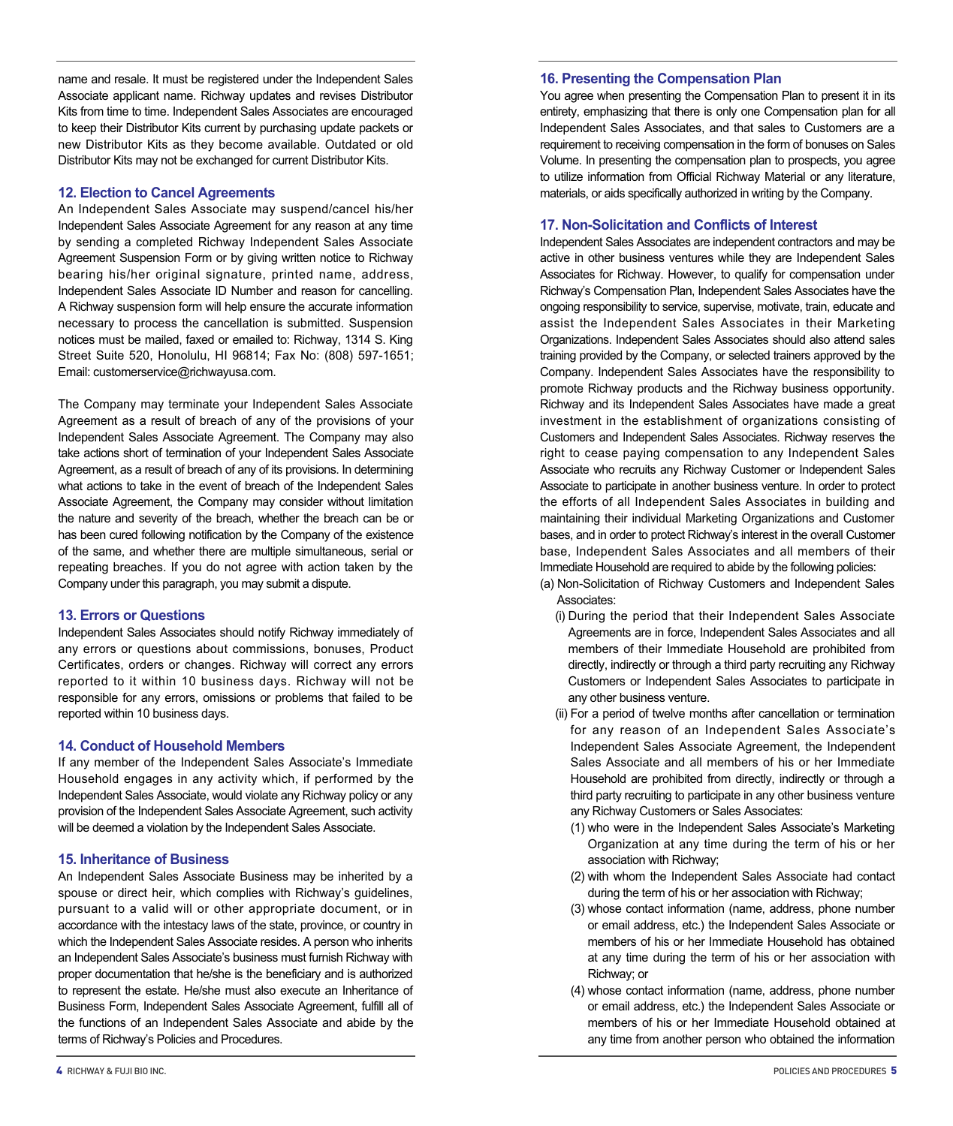name and resale. It must be registered under the Independent Sales Associate applicant name. Richway updates and revises Distributor Kits from time to time. Independent Sales Associates are encouraged to keep their Distributor Kits current by purchasing update packets or new Distributor Kits as they become available. Outdated or old Distributor Kits may not be exchanged for current Distributor Kits.

# **12. Election to Cancel Agreements**

An Independent Sales Associate may suspend/cancel his/her Independent Sales Associate Agreement for any reason at any time by sending a completed Richway Independent Sales Associate Agreement Suspension Form or by giving written notice to Richway bearing his/her original signature, printed name, address, Independent Sales Associate ID Number and reason for cancelling. A Richway suspension form will help ensure the accurate information necessary to process the cancellation is submitted. Suspension notices must be mailed, faxed or emailed to: Richway, 1314 S. King Street Suite 520, Honolulu, HI 96814; Fax No: (808) 597-1651; Email: customerservice@richwayusa.com.

The Company may terminate your Independent Sales Associate Agreement as a result of breach of any of the provisions of your Independent Sales Associate Agreement. The Company may also take actions short of termination of your Independent Sales Associate Agreement, as a result of breach of any of its provisions. In determining what actions to take in the event of breach of the Independent Sales Associate Agreement, the Company may consider without limitation the nature and severity of the breach, whether the breach can be or has been cured following notification by the Company of the existence of the same, and whether there are multiple simultaneous, serial or repeating breaches. If you do not agree with action taken by the Company under this paragraph, you may submit a dispute.

#### **13. Errors or Questions**

Independent Sales Associates should notify Richway immediately of any errors or questions about commissions, bonuses, Product Certificates, orders or changes. Richway will correct any errors reported to it within 10 business days. Richway will not be responsible for any errors, omissions or problems that failed to be reported within 10 business days.

#### **14. Conduct of Household Members**

If any member of the Independent Sales Associate's Immediate Household engages in any activity which, if performed by the Independent Sales Associate, would violate any Richway policy or any provision of the Independent Sales Associate Agreement, such activity will be deemed a violation by the Independent Sales Associate.

# **15. Inheritance of Business**

An Independent Sales Associate Business may be inherited by a spouse or direct heir, which complies with Richway's guidelines, pursuant to a valid will or other appropriate document, or in accordance with the intestacy laws of the state, province, or country in which the Independent Sales Associate resides. A person who inherits an Independent Sales Associate's business must furnish Richway with proper documentation that he/she is the beneficiary and is authorized to represent the estate. He/she must also execute an Inheritance of Business Form, Independent Sales Associate Agreement, fulfill all of the functions of an Independent Sales Associate and abide by the terms of Richway's Policies and Procedures.

#### **16. Presenting the Compensation Plan**

You agree when presenting the Compensation Plan to present it in its entirety, emphasizing that there is only one Compensation plan for all Independent Sales Associates, and that sales to Customers are a requirement to receiving compensation in the form of bonuses on Sales Volume. In presenting the compensation plan to prospects, you agree to utilize information from Official Richway Material or any literature, materials, or aids specifically authorized in writing by the Company.

#### **17. Non-Solicitation and Conflicts of Interest**

Independent Sales Associates are independent contractors and may be active in other business ventures while they are Independent Sales Associates for Richway. However, to qualify for compensation under Richway's Compensation Plan, Independent Sales Associates have the ongoing responsibility to service, supervise, motivate, train, educate and assist the Independent Sales Associates in their Marketing Organizations. Independent Sales Associates should also attend sales training provided by the Company, or selected trainers approved by the Company. Independent Sales Associates have the responsibility to promote Richway products and the Richway business opportunity. Richway and its Independent Sales Associates have made a great investment in the establishment of organizations consisting of Customers and Independent Sales Associates. Richway reserves the right to cease paying compensation to any Independent Sales Associate who recruits any Richway Customer or Independent Sales Associate to participate in another business venture. In order to protect the efforts of all Independent Sales Associates in building and maintaining their individual Marketing Organizations and Customer bases, and in order to protect Richway's interest in the overall Customer base, Independent Sales Associates and all members of their Immediate Household are required to abide by the following policies:

(a) Non-Solicitation of Richway Customers and Independent Sales Associates:

- (i) During the period that their Independent Sales Associate Agreements are in force, Independent Sales Associates and all members of their Immediate Household are prohibited from directly, indirectly or through a third party recruiting any Richway Customers or Independent Sales Associates to participate in any other business venture.
- (ii) For a period of twelve months after cancellation or termination for any reason of an Independent Sales Associate's Independent Sales Associate Agreement, the Independent Sales Associate and all members of his or her Immediate Household are prohibited from directly, indirectly or through a third party recruiting to participate in any other business venture any Richway Customers or Sales Associates:
	- (1) who were in the Independent Sales Associate's Marketing Organization at any time during the term of his or her association with Richway;
	- (2) with whom the Independent Sales Associate had contact during the term of his or her association with Richway;
	- (3) whose contact information (name, address, phone number or email address, etc.) the Independent Sales Associate or members of his or her Immediate Household has obtained at any time during the term of his or her association with Richway; or
	- (4) whose contact information (name, address, phone number or email address, etc.) the Independent Sales Associate or members of his or her Immediate Household obtained at any time from another person who obtained the information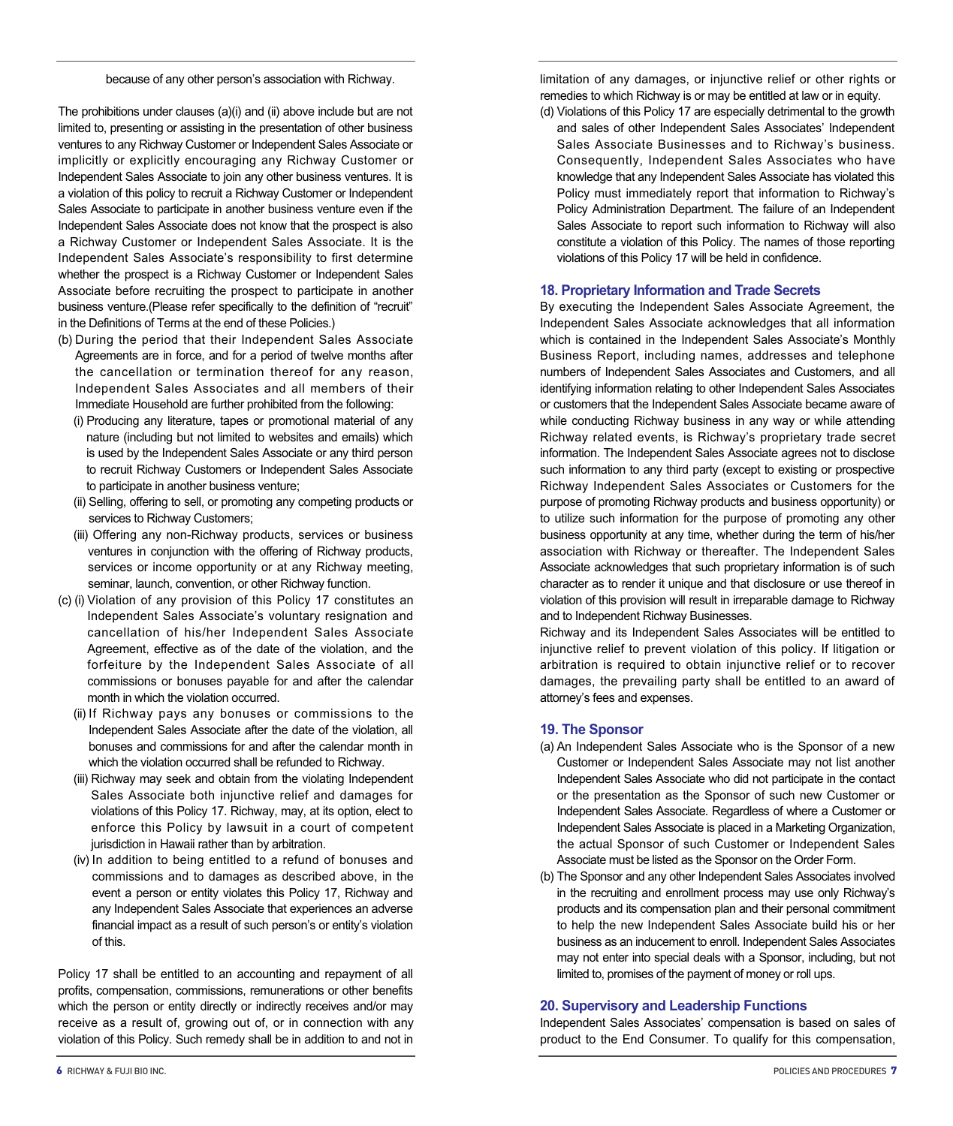The prohibitions under clauses (a)(i) and (ii) above include but are not limited to, presenting or assisting in the presentation of other business ventures to any Richway Customer or Independent Sales Associate or implicitly or explicitly encouraging any Richway Customer or Independent Sales Associate to join any other business ventures. It is a violation of this policy to recruit a Richway Customer or Independent Sales Associate to participate in another business venture even if the Independent Sales Associate does not know that the prospect is also a Richway Customer or Independent Sales Associate. It is the Independent Sales Associate's responsibility to first determine whether the prospect is a Richway Customer or Independent Sales Associate before recruiting the prospect to participate in another business venture.(Please refer specifically to the definition of "recruit" in the Definitions of Terms at the end of these Policies.)

- (b) During the period that their Independent Sales Associate Agreements are in force, and for a period of twelve months after the cancellation or termination thereof for any reason, Independent Sales Associates and all members of their Immediate Household are further prohibited from the following:
	- (i) Producing any literature, tapes or promotional material of any nature (including but not limited to websites and emails) which is used by the Independent Sales Associate or any third person to recruit Richway Customers or Independent Sales Associate to participate in another business venture;
	- (ii) Selling, offering to sell, or promoting any competing products or services to Richway Customers;
	- (iii) Offering any non-Richway products, services or business ventures in conjunction with the offering of Richway products, services or income opportunity or at any Richway meeting, seminar, launch, convention, or other Richway function.
- (c) (i) Violation of any provision of this Policy 17 constitutes an Independent Sales Associate's voluntary resignation and cancellation of his/her Independent Sales Associate Agreement, effective as of the date of the violation, and the forfeiture by the Independent Sales Associate of all commissions or bonuses payable for and after the calendar month in which the violation occurred.
	- (ii) If Richway pays any bonuses or commissions to the Independent Sales Associate after the date of the violation, all bonuses and commissions for and after the calendar month in which the violation occurred shall be refunded to Richway.
	- (iii) Richway may seek and obtain from the violating Independent Sales Associate both injunctive relief and damages for violations of this Policy 17. Richway, may, at its option, elect to enforce this Policy by lawsuit in a court of competent jurisdiction in Hawaii rather than by arbitration.
	- (iv) In addition to being entitled to a refund of bonuses and commissions and to damages as described above, in the event a person or entity violates this Policy 17, Richway and any Independent Sales Associate that experiences an adverse financial impact as a result of such person's or entity's violation of this.

Policy 17 shall be entitled to an accounting and repayment of all profits, compensation, commissions, remunerations or other benefits which the person or entity directly or indirectly receives and/or may receive as a result of, growing out of, or in connection with any violation of this Policy. Such remedy shall be in addition to and not in limitation of any damages, or injunctive relief or other rights or remedies to which Richway is or may be entitled at law or in equity.

(d) Violations of this Policy 17 are especially detrimental to the growth and sales of other Independent Sales Associates' Independent Sales Associate Businesses and to Richway's business. Consequently, Independent Sales Associates who have knowledge that any Independent Sales Associate has violated this Policy must immediately report that information to Richway's Policy Administration Department. The failure of an Independent Sales Associate to report such information to Richway will also constitute a violation of this Policy. The names of those reporting violations of this Policy 17 will be held in confidence.

# **18. Proprietary Information and Trade Secrets**

By executing the Independent Sales Associate Agreement, the Independent Sales Associate acknowledges that all information which is contained in the Independent Sales Associate's Monthly Business Report, including names, addresses and telephone numbers of Independent Sales Associates and Customers, and all identifying information relating to other Independent Sales Associates or customers that the Independent Sales Associate became aware of while conducting Richway business in any way or while attending Richway related events, is Richway's proprietary trade secret information. The Independent Sales Associate agrees not to disclose such information to any third party (except to existing or prospective Richway Independent Sales Associates or Customers for the purpose of promoting Richway products and business opportunity) or to utilize such information for the purpose of promoting any other business opportunity at any time, whether during the term of his/her association with Richway or thereafter. The Independent Sales Associate acknowledges that such proprietary information is of such character as to render it unique and that disclosure or use thereof in violation of this provision will result in irreparable damage to Richway and to Independent Richway Businesses.

Richway and its Independent Sales Associates will be entitled to injunctive relief to prevent violation of this policy. If litigation or arbitration is required to obtain injunctive relief or to recover damages, the prevailing party shall be entitled to an award of attorney's fees and expenses.

# **19. The Sponsor**

- (a) An Independent Sales Associate who is the Sponsor of a new Customer or Independent Sales Associate may not list another Independent Sales Associate who did not participate in the contact or the presentation as the Sponsor of such new Customer or Independent Sales Associate. Regardless of where a Customer or Independent Sales Associate is placed in a Marketing Organization, the actual Sponsor of such Customer or Independent Sales Associate must be listed as the Sponsor on the Order Form.
- (b) The Sponsor and any other Independent Sales Associates involved in the recruiting and enrollment process may use only Richway's products and its compensation plan and their personal commitment to help the new Independent Sales Associate build his or her business as an inducement to enroll. Independent Sales Associates may not enter into special deals with a Sponsor, including, but not limited to, promises of the payment of money or roll ups.

# **20. Supervisory and Leadership Functions**

Independent Sales Associates' compensation is based on sales of product to the End Consumer. To qualify for this compensation,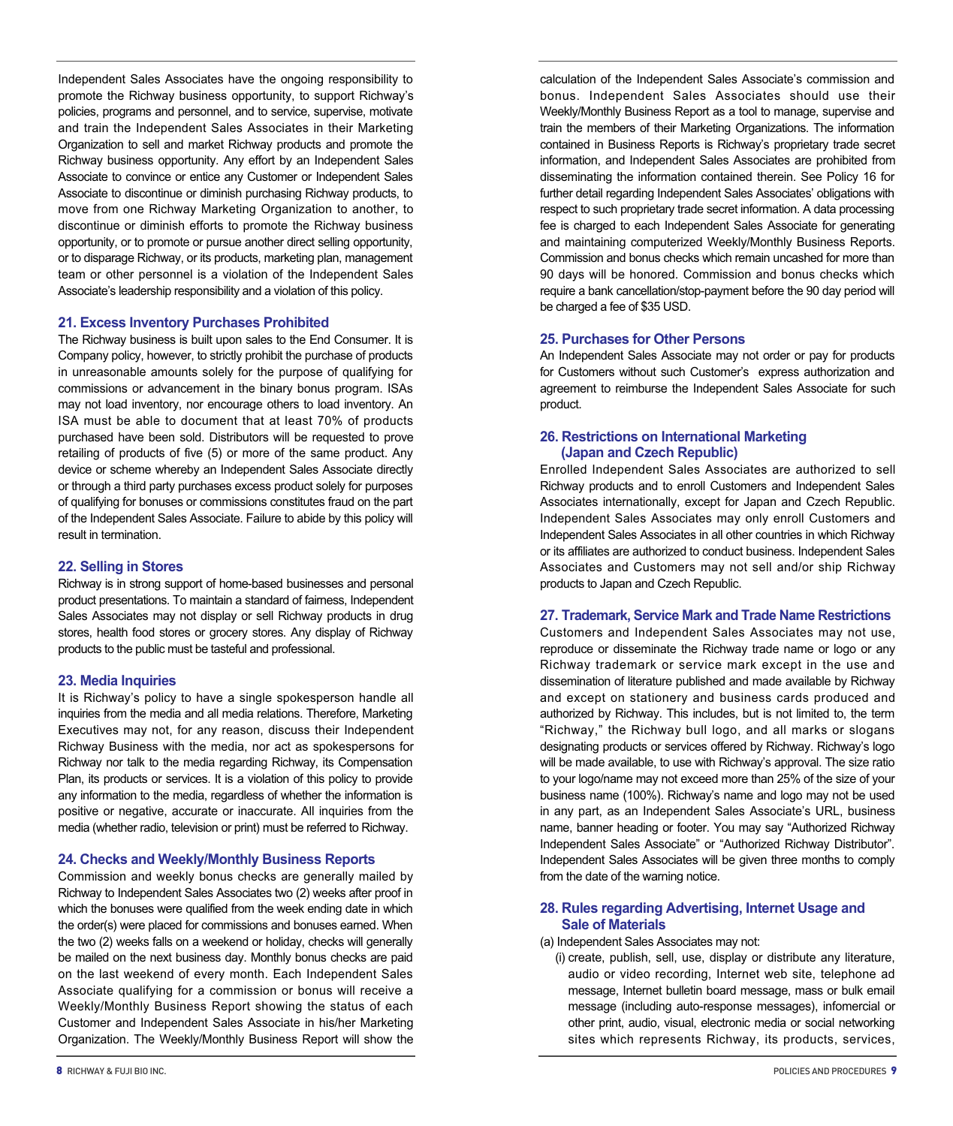Independent Sales Associates have the ongoing responsibility to promote the Richway business opportunity, to support Richway's policies, programs and personnel, and to service, supervise, motivate and train the Independent Sales Associates in their Marketing Organization to sell and market Richway products and promote the Richway business opportunity. Any effort by an Independent Sales Associate to convince or entice any Customer or Independent Sales Associate to discontinue or diminish purchasing Richway products, to move from one Richway Marketing Organization to another, to discontinue or diminish efforts to promote the Richway business opportunity, or to promote or pursue another direct selling opportunity, or to disparage Richway, or its products, marketing plan, management team or other personnel is a violation of the Independent Sales Associate's leadership responsibility and a violation of this policy.

#### **21. Excess Inventory Purchases Prohibited**

The Richway business is built upon sales to the End Consumer. It is Company policy, however, to strictly prohibit the purchase of products in unreasonable amounts solely for the purpose of qualifying for commissions or advancement in the binary bonus program. ISAs may not load inventory, nor encourage others to load inventory. An ISA must be able to document that at least 70% of products purchased have been sold. Distributors will be requested to prove retailing of products of five (5) or more of the same product. Any device or scheme whereby an Independent Sales Associate directly or through a third party purchases excess product solely for purposes of qualifying for bonuses or commissions constitutes fraud on the part of the Independent Sales Associate. Failure to abide by this policy will result in termination.

#### **22. Selling in Stores**

Richway is in strong support of home-based businesses and personal product presentations. To maintain a standard of fairness, Independent Sales Associates may not display or sell Richway products in drug stores, health food stores or grocery stores. Any display of Richway products to the public must be tasteful and professional.

# **23. Media Inquiries**

It is Richway's policy to have a single spokesperson handle all inquiries from the media and all media relations. Therefore, Marketing Executives may not, for any reason, discuss their Independent Richway Business with the media, nor act as spokespersons for Richway nor talk to the media regarding Richway, its Compensation Plan, its products or services. It is a violation of this policy to provide any information to the media, regardless of whether the information is positive or negative, accurate or inaccurate. All inquiries from the media (whether radio, television or print) must be referred to Richway.

#### **24. Checks and Weekly/Monthly Business Reports**

Commission and weekly bonus checks are generally mailed by Richway to Independent Sales Associates two (2) weeks after proof in which the bonuses were qualified from the week ending date in which the order(s) were placed for commissions and bonuses earned. When the two (2) weeks falls on a weekend or holiday, checks will generally be mailed on the next business day. Monthly bonus checks are paid on the last weekend of every month. Each Independent Sales Associate qualifying for a commission or bonus will receive a Weekly/Monthly Business Report showing the status of each Customer and Independent Sales Associate in his/her Marketing Organization. The Weekly/Monthly Business Report will show the calculation of the Independent Sales Associate's commission and bonus. Independent Sales Associates should use their Weekly/Monthly Business Report as a tool to manage, supervise and train the members of their Marketing Organizations. The information contained in Business Reports is Richway's proprietary trade secret information, and Independent Sales Associates are prohibited from disseminating the information contained therein. See Policy 16 for further detail regarding Independent Sales Associates' obligations with respect to such proprietary trade secret information. A data processing fee is charged to each Independent Sales Associate for generating and maintaining computerized Weekly/Monthly Business Reports. Commission and bonus checks which remain uncashed for more than 90 days will be honored. Commission and bonus checks which require a bank cancellation/stop-payment before the 90 day period will be charged a fee of \$35 USD.

#### **25. Purchases for Other Persons**

An Independent Sales Associate may not order or pay for products for Customers without such Customer's express authorization and agreement to reimburse the Independent Sales Associate for such product.

# **26. Restrictions on International Marketing (Japan and Czech Republic)**

Enrolled Independent Sales Associates are authorized to sell Richway products and to enroll Customers and Independent Sales Associates internationally, except for Japan and Czech Republic. Independent Sales Associates may only enroll Customers and Independent Sales Associates in all other countries in which Richway or its affiliates are authorized to conduct business. Independent Sales Associates and Customers may not sell and/or ship Richway products to Japan and Czech Republic.

#### **27. Trademark, Service Mark and Trade Name Restrictions**

Customers and Independent Sales Associates may not use, reproduce or disseminate the Richway trade name or logo or any Richway trademark or service mark except in the use and dissemination of literature published and made available by Richway and except on stationery and business cards produced and authorized by Richway. This includes, but is not limited to, the term "Richway," the Richway bull logo, and all marks or slogans designating products or services offered by Richway. Richway's logo will be made available, to use with Richway's approval. The size ratio to your logo/name may not exceed more than 25% of the size of your business name (100%). Richway's name and logo may not be used in any part, as an Independent Sales Associate's URL, business name, banner heading or footer. You may say "Authorized Richway Independent Sales Associate" or "Authorized Richway Distributor". Independent Sales Associates will be given three months to comply from the date of the warning notice.

#### **28. Rules regarding Advertising, Internet Usage and Sale of Materials**

- (a) Independent Sales Associates may not:
	- (i) create, publish, sell, use, display or distribute any literature, audio or video recording, Internet web site, telephone ad message, Internet bulletin board message, mass or bulk email message (including auto-response messages), infomercial or other print, audio, visual, electronic media or social networking sites which represents Richway, its products, services,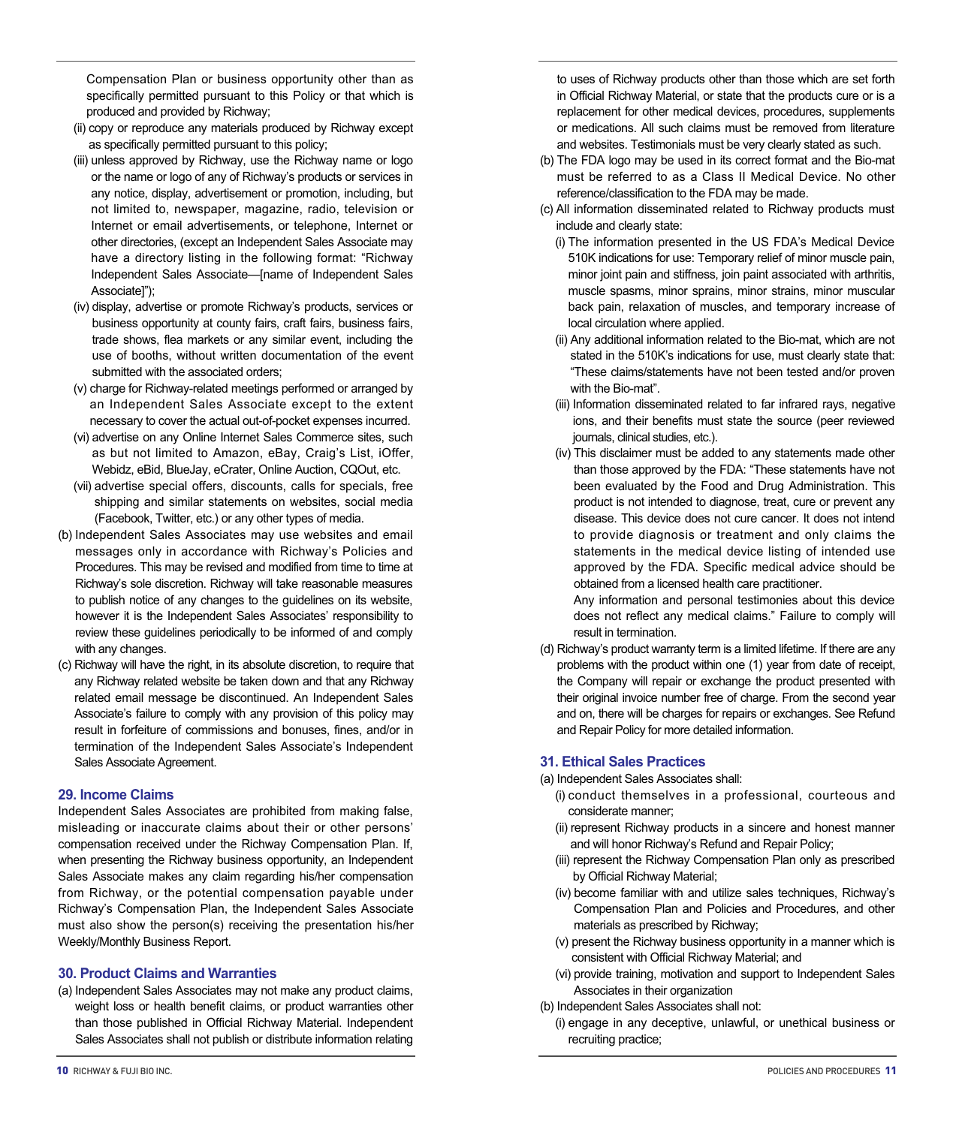Compensation Plan or business opportunity other than as specifically permitted pursuant to this Policy or that which is produced and provided by Richway;

- (ii) copy or reproduce any materials produced by Richway except as specifically permitted pursuant to this policy;
- (iii) unless approved by Richway, use the Richway name or logo or the name or logo of any of Richway's products or services in any notice, display, advertisement or promotion, including, but not limited to, newspaper, magazine, radio, television or Internet or email advertisements, or telephone, Internet or other directories, (except an Independent Sales Associate may have a directory listing in the following format: "Richway Independent Sales Associate—[name of Independent Sales Associate]");
- (iv) display, advertise or promote Richway's products, services or business opportunity at county fairs, craft fairs, business fairs, trade shows, flea markets or any similar event, including the use of booths, without written documentation of the event submitted with the associated orders;
- (v) charge for Richway-related meetings performed or arranged by an Independent Sales Associate except to the extent necessary to cover the actual out-of-pocket expenses incurred.
- (vi) advertise on any Online Internet Sales Commerce sites, such as but not limited to Amazon, eBay, Craig's List, iOffer, Webidz, eBid, BlueJay, eCrater, Online Auction, CQOut, etc.
- (vii) advertise special offers, discounts, calls for specials, free shipping and similar statements on websites, social media (Facebook, Twitter, etc.) or any other types of media.
- (b) Independent Sales Associates may use websites and email messages only in accordance with Richway's Policies and Procedures. This may be revised and modified from time to time at Richway's sole discretion. Richway will take reasonable measures to publish notice of any changes to the guidelines on its website, however it is the Independent Sales Associates' responsibility to review these guidelines periodically to be informed of and comply with any changes.
- (c) Richway will have the right, in its absolute discretion, to require that any Richway related website be taken down and that any Richway related email message be discontinued. An Independent Sales Associate's failure to comply with any provision of this policy may result in forfeiture of commissions and bonuses, fines, and/or in termination of the Independent Sales Associate's Independent Sales Associate Agreement.

## **29. Income Claims**

Independent Sales Associates are prohibited from making false, misleading or inaccurate claims about their or other persons' compensation received under the Richway Compensation Plan. If, when presenting the Richway business opportunity, an Independent Sales Associate makes any claim regarding his/her compensation from Richway, or the potential compensation payable under Richway's Compensation Plan, the Independent Sales Associate must also show the person(s) receiving the presentation his/her Weekly/Monthly Business Report.

#### **30. Product Claims and Warranties**

(a) Independent Sales Associates may not make any product claims, weight loss or health benefit claims, or product warranties other than those published in Official Richway Material. Independent Sales Associates shall not publish or distribute information relating

- (b) The FDA logo may be used in its correct format and the Bio-mat must be referred to as a Class II Medical Device. No other reference/classification to the FDA may be made.
- (c) All information disseminated related to Richway products must include and clearly state:
	- (i) The information presented in the US FDA's Medical Device 510K indications for use: Temporary relief of minor muscle pain, minor joint pain and stiffness, join paint associated with arthritis, muscle spasms, minor sprains, minor strains, minor muscular back pain, relaxation of muscles, and temporary increase of local circulation where applied.
	- (ii) Any additional information related to the Bio-mat, which are not stated in the 510K's indications for use, must clearly state that: "These claims/statements have not been tested and/or proven with the Bio-mat".
	- (iii) Information disseminated related to far infrared rays, negative ions, and their benefits must state the source (peer reviewed journals, clinical studies, etc.).
	- (iv) This disclaimer must be added to any statements made other than those approved by the FDA: "These statements have not been evaluated by the Food and Drug Administration. This product is not intended to diagnose, treat, cure or prevent any disease. This device does not cure cancer. It does not intend to provide diagnosis or treatment and only claims the statements in the medical device listing of intended use approved by the FDA. Specific medical advice should be obtained from a licensed health care practitioner.

Any information and personal testimonies about this device does not reflect any medical claims." Failure to comply will result in termination.

(d) Richway's product warranty term is a limited lifetime. If there are any problems with the product within one (1) year from date of receipt, the Company will repair or exchange the product presented with their original invoice number free of charge. From the second year and on, there will be charges for repairs or exchanges. See Refund and Repair Policy for more detailed information.

# **31. Ethical Sales Practices**

(a) Independent Sales Associates shall:

- (i) conduct themselves in a professional, courteous and considerate manner;
- (ii) represent Richway products in a sincere and honest manner and will honor Richway's Refund and Repair Policy;
- (iii) represent the Richway Compensation Plan only as prescribed by Official Richway Material;
- (iv) become familiar with and utilize sales techniques, Richway's Compensation Plan and Policies and Procedures, and other materials as prescribed by Richway;
- (v) present the Richway business opportunity in a manner which is consistent with Official Richway Material; and
- (vi) provide training, motivation and support to Independent Sales Associates in their organization
- (b) Independent Sales Associates shall not:
	- (i) engage in any deceptive, unlawful, or unethical business or recruiting practice;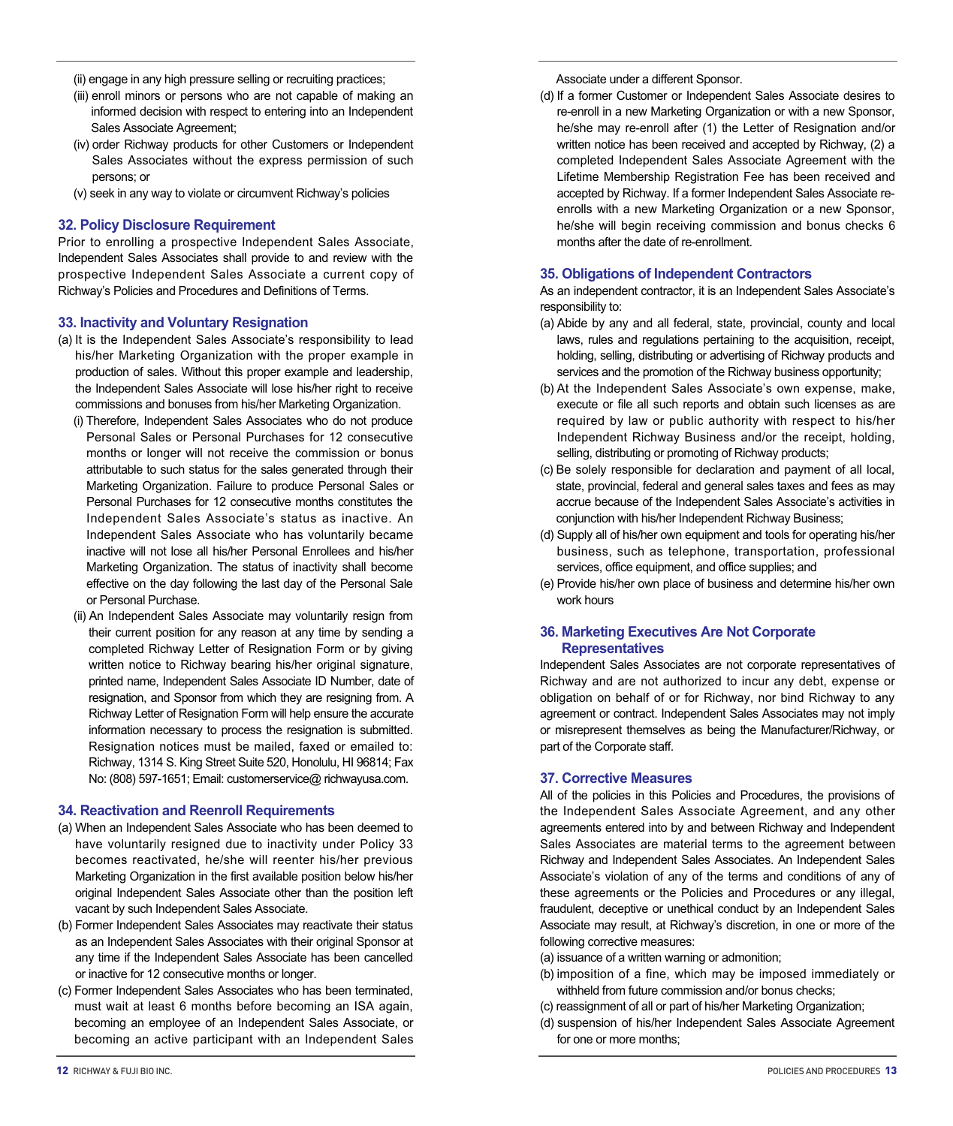- (ii) engage in any high pressure selling or recruiting practices;
- (iii) enroll minors or persons who are not capable of making an informed decision with respect to entering into an Independent Sales Associate Agreement;
- (iv) order Richway products for other Customers or Independent Sales Associates without the express permission of such persons; or
- (v) seek in any way to violate or circumvent Richway's policies

#### **32. Policy Disclosure Requirement**

Prior to enrolling a prospective Independent Sales Associate, Independent Sales Associates shall provide to and review with the prospective Independent Sales Associate a current copy of Richway's Policies and Procedures and Definitions of Terms.

#### **33. Inactivity and Voluntary Resignation**

- (a) It is the Independent Sales Associate's responsibility to lead his/her Marketing Organization with the proper example in production of sales. Without this proper example and leadership, the Independent Sales Associate will lose his/her right to receive commissions and bonuses from his/her Marketing Organization.
	- (i) Therefore, Independent Sales Associates who do not produce Personal Sales or Personal Purchases for 12 consecutive months or longer will not receive the commission or bonus attributable to such status for the sales generated through their Marketing Organization. Failure to produce Personal Sales or Personal Purchases for 12 consecutive months constitutes the Independent Sales Associate's status as inactive. An Independent Sales Associate who has voluntarily became inactive will not lose all his/her Personal Enrollees and his/her Marketing Organization. The status of inactivity shall become effective on the day following the last day of the Personal Sale or Personal Purchase.
	- (ii) An Independent Sales Associate may voluntarily resign from their current position for any reason at any time by sending a completed Richway Letter of Resignation Form or by giving written notice to Richway bearing his/her original signature, printed name, Independent Sales Associate ID Number, date of resignation, and Sponsor from which they are resigning from. A Richway Letter of Resignation Form will help ensure the accurate information necessary to process the resignation is submitted. Resignation notices must be mailed, faxed or emailed to: Richway, 1314 S. King Street Suite 520, Honolulu, HI 96814; Fax No: (808) 597-1651; Email: customerservice@ richwayusa.com.

# **34. Reactivation and Reenroll Requirements**

- (a) When an Independent Sales Associate who has been deemed to have voluntarily resigned due to inactivity under Policy 33 becomes reactivated, he/she will reenter his/her previous Marketing Organization in the first available position below his/her original Independent Sales Associate other than the position left vacant by such Independent Sales Associate.
- (b) Former Independent Sales Associates may reactivate their status as an Independent Sales Associates with their original Sponsor at any time if the Independent Sales Associate has been cancelled or inactive for 12 consecutive months or longer.
- (c) Former Independent Sales Associates who has been terminated, must wait at least 6 months before becoming an ISA again, becoming an employee of an Independent Sales Associate, or becoming an active participant with an Independent Sales

Associate under a different Sponsor.

(d) If a former Customer or Independent Sales Associate desires to re-enroll in a new Marketing Organization or with a new Sponsor, he/she may re-enroll after (1) the Letter of Resignation and/or written notice has been received and accepted by Richway, (2) a completed Independent Sales Associate Agreement with the Lifetime Membership Registration Fee has been received and accepted by Richway. If a former Independent Sales Associate reenrolls with a new Marketing Organization or a new Sponsor, he/she will begin receiving commission and bonus checks 6 months after the date of re-enrollment.

#### **35. Obligations of Independent Contractors**

As an independent contractor, it is an Independent Sales Associate's responsibility to:

- (a) Abide by any and all federal, state, provincial, county and local laws, rules and regulations pertaining to the acquisition, receipt, holding, selling, distributing or advertising of Richway products and services and the promotion of the Richway business opportunity;
- (b) At the Independent Sales Associate's own expense, make, execute or file all such reports and obtain such licenses as are required by law or public authority with respect to his/her Independent Richway Business and/or the receipt, holding, selling, distributing or promoting of Richway products;
- (c) Be solely responsible for declaration and payment of all local, state, provincial, federal and general sales taxes and fees as may accrue because of the Independent Sales Associate's activities in conjunction with his/her Independent Richway Business;
- (d) Supply all of his/her own equipment and tools for operating his/her business, such as telephone, transportation, professional services, office equipment, and office supplies; and
- (e) Provide his/her own place of business and determine his/her own work hours

## **36. Marketing Executives Are Not Corporate Representatives**

Independent Sales Associates are not corporate representatives of Richway and are not authorized to incur any debt, expense or obligation on behalf of or for Richway, nor bind Richway to any agreement or contract. Independent Sales Associates may not imply or misrepresent themselves as being the Manufacturer/Richway, or part of the Corporate staff.

#### **37. Corrective Measures**

All of the policies in this Policies and Procedures, the provisions of the Independent Sales Associate Agreement, and any other agreements entered into by and between Richway and Independent Sales Associates are material terms to the agreement between Richway and Independent Sales Associates. An Independent Sales Associate's violation of any of the terms and conditions of any of these agreements or the Policies and Procedures or any illegal, fraudulent, deceptive or unethical conduct by an Independent Sales Associate may result, at Richway's discretion, in one or more of the following corrective measures:

- (a) issuance of a written warning or admonition;
- (b) imposition of a fine, which may be imposed immediately or withheld from future commission and/or bonus checks;
- (c) reassignment of all or part of his/her Marketing Organization;
- (d) suspension of his/her Independent Sales Associate Agreement for one or more months;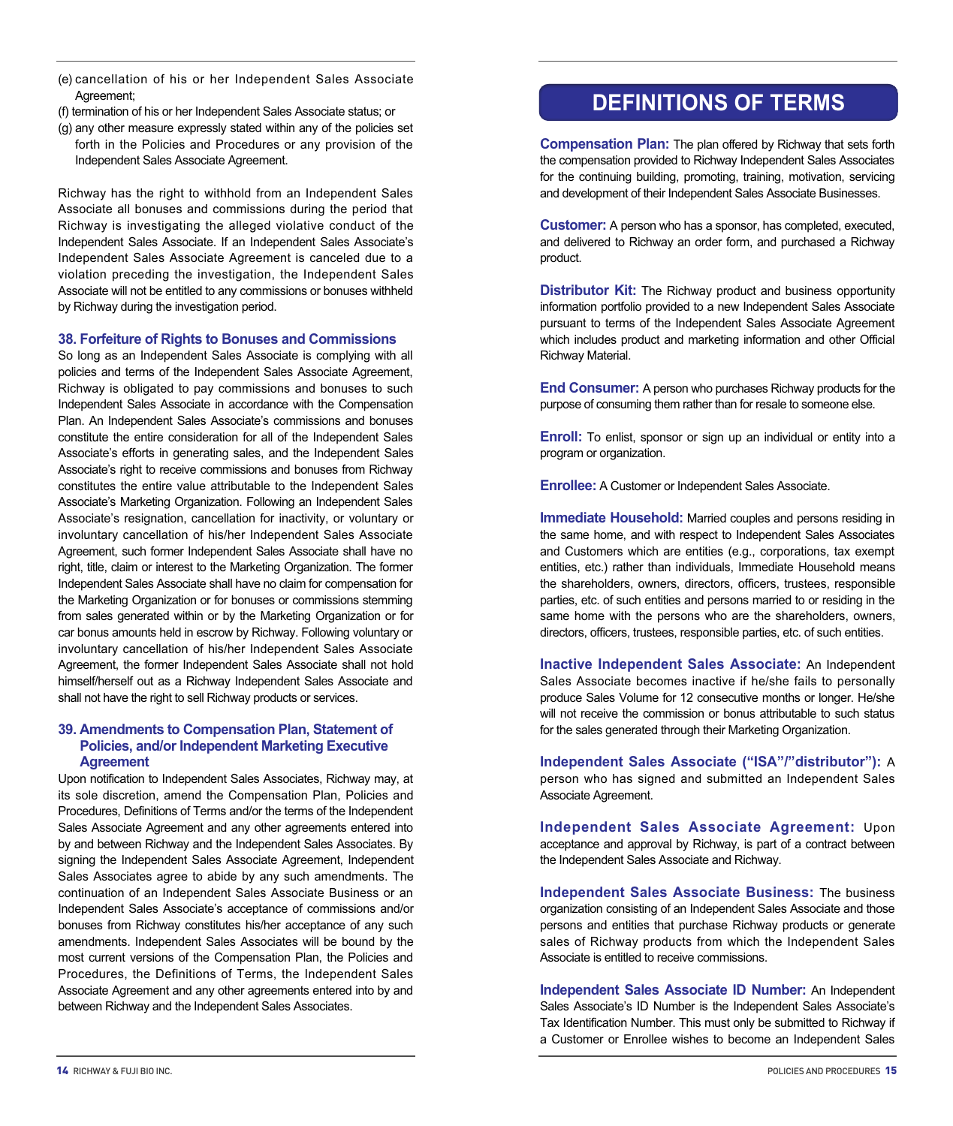- (e) cancellation of his or her Independent Sales Associate Agreement;
- (f) termination of his or her Independent Sales Associate status; or
- (g) any other measure expressly stated within any of the policies set forth in the Policies and Procedures or any provision of the Independent Sales Associate Agreement.

Richway has the right to withhold from an Independent Sales Associate all bonuses and commissions during the period that Richway is investigating the alleged violative conduct of the Independent Sales Associate. If an Independent Sales Associate's Independent Sales Associate Agreement is canceled due to a violation preceding the investigation, the Independent Sales Associate will not be entitled to any commissions or bonuses withheld by Richway during the investigation period.

## **38. Forfeiture of Rights to Bonuses and Commissions**

So long as an Independent Sales Associate is complying with all policies and terms of the Independent Sales Associate Agreement, Richway is obligated to pay commissions and bonuses to such Independent Sales Associate in accordance with the Compensation Plan. An Independent Sales Associate's commissions and bonuses constitute the entire consideration for all of the Independent Sales Associate's efforts in generating sales, and the Independent Sales Associate's right to receive commissions and bonuses from Richway constitutes the entire value attributable to the Independent Sales Associate's Marketing Organization. Following an Independent Sales Associate's resignation, cancellation for inactivity, or voluntary or involuntary cancellation of his/her Independent Sales Associate Agreement, such former Independent Sales Associate shall have no right, title, claim or interest to the Marketing Organization. The former Independent Sales Associate shall have no claim for compensation for the Marketing Organization or for bonuses or commissions stemming from sales generated within or by the Marketing Organization or for car bonus amounts held in escrow by Richway. Following voluntary or involuntary cancellation of his/her Independent Sales Associate Agreement, the former Independent Sales Associate shall not hold himself/herself out as a Richway Independent Sales Associate and shall not have the right to sell Richway products or services.

# **39. Amendments to Compensation Plan, Statement of Policies, and/or Independent Marketing Executive Agreement**

Upon notification to Independent Sales Associates, Richway may, at its sole discretion, amend the Compensation Plan, Policies and Procedures, Definitions of Terms and/or the terms of the Independent Sales Associate Agreement and any other agreements entered into by and between Richway and the Independent Sales Associates. By signing the Independent Sales Associate Agreement, Independent Sales Associates agree to abide by any such amendments. The continuation of an Independent Sales Associate Business or an Independent Sales Associate's acceptance of commissions and/or bonuses from Richway constitutes his/her acceptance of any such amendments. Independent Sales Associates will be bound by the most current versions of the Compensation Plan, the Policies and Procedures, the Definitions of Terms, the Independent Sales Associate Agreement and any other agreements entered into by and between Richway and the Independent Sales Associates.

# **DEFINITIONS OF TERMS**

**Compensation Plan:** The plan offered by Richway that sets forth the compensation provided to Richway Independent Sales Associates for the continuing building, promoting, training, motivation, servicing and development of their Independent Sales Associate Businesses.

**Customer:** A person who has a sponsor, has completed, executed, and delivered to Richway an order form, and purchased a Richway product.

**Distributor Kit:** The Richway product and business opportunity information portfolio provided to a new Independent Sales Associate pursuant to terms of the Independent Sales Associate Agreement which includes product and marketing information and other Official Richway Material.

**End Consumer:** A person who purchases Richway products for the purpose of consuming them rather than for resale to someone else.

**Enroll:** To enlist, sponsor or sign up an individual or entity into a program or organization.

**Enrollee:** A Customer or Independent Sales Associate.

**Immediate Household:** Married couples and persons residing in the same home, and with respect to Independent Sales Associates and Customers which are entities (e.g., corporations, tax exempt entities, etc.) rather than individuals, Immediate Household means the shareholders, owners, directors, officers, trustees, responsible parties, etc. of such entities and persons married to or residing in the same home with the persons who are the shareholders, owners, directors, officers, trustees, responsible parties, etc. of such entities.

**Inactive Independent Sales Associate:** An Independent Sales Associate becomes inactive if he/she fails to personally produce Sales Volume for 12 consecutive months or longer. He/she will not receive the commission or bonus attributable to such status for the sales generated through their Marketing Organization.

**Independent Sales Associate ("ISA"/"distributor"):** A person who has signed and submitted an Independent Sales Associate Agreement.

**Independent Sales Associate Agreement:** Upon acceptance and approval by Richway, is part of a contract between the Independent Sales Associate and Richway.

**Independent Sales Associate Business:** The business organization consisting of an Independent Sales Associate and those persons and entities that purchase Richway products or generate sales of Richway products from which the Independent Sales Associate is entitled to receive commissions.

**Independent Sales Associate ID Number:** An Independent Sales Associate's ID Number is the Independent Sales Associate's Tax Identification Number. This must only be submitted to Richway if a Customer or Enrollee wishes to become an Independent Sales